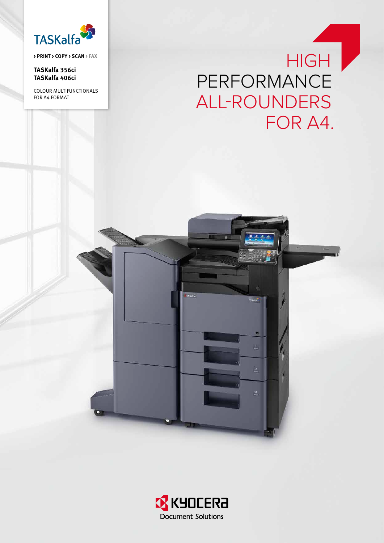

**> PRINT > COPY > SCAN > FAX**

**TASKalfa 356ci TASKalfa 406ci**

COLOUR MULTIFUNCTIONALS for A4 For mat

# **HIGH** PERFORMANCE ALL-ROUNDERS FOR A4.



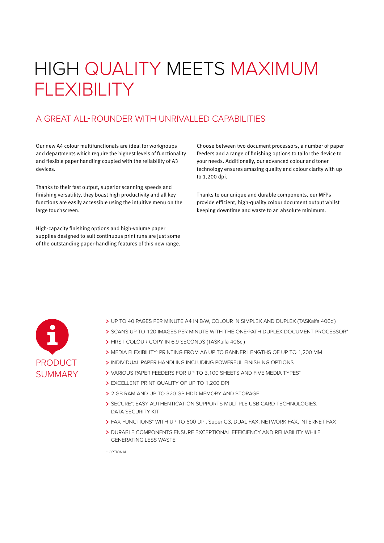# HIGH QUALITY MEETS MAXIMUM FLEXIBILITY

## A great all-rounder with unrivalled capabilities

Our new A4 colour multifunctionals are ideal for workgroups and departments which require the highest levels of functionality and flexible paper handling coupled with the reliability of A3 devices.

Thanks to their fast output, superior scanning speeds and finishing versatility, they boast high productivity and all key functions are easily accessible using the intuitive menu on the large touchscreen.

High-capacity finishing options and high-volume paper supplies designed to suit continuous print runs are just some of the outstanding paper-handling features of this new range.

Choose between two document processors, a number of paper feeders and a range of finishing options to tailor the device to your needs. Additionally, our advanced colour and toner technology ensures amazing quality and colour clarity with up to 1,200 dpi.

Thanks to our unique and durable components, our MFPs provide efficient, high-quality colour document output whilst keeping downtime and waste to an absolute minimum.



- UP TO 40 PAGES PER MINUTE A4 IN B/W, COLOUR IN SIMPLEX AND DUPLEX (TASKalfa 406ci)
- > SCANS UP TO 120 IMAGES PER MINUTE WITH THE ONE-PATH DUPLEX DOCUMENT PROCESSOR\*
- FIRST COLOUR COPY IN 6.9 SECONDS (TASKalfa 406ci)
- MEDIA FLEXIBILITY: PRINTING FROM A6 UP TO BANNER LENGTHS OF UP TO 1,200 MM
- INDIVIDUAL PAPER HANDLING INCLUDING Powerful FINISHING OPTIONS
- VARIOUS PAPER FEEDERS FOR UP TO 3,100 SHEETS AND FIVE MEDIA TYPES\*
- EXCELLENT PRINT QUALITY OF UP TO 1,200 DPI
- > 2 GB RAM AND UP TO 320 GB HDD MEMORY AND STORAGE
- > SECURE\*: EASY AUTHENTICATION SUPPORTS MULTIPLE USB CARD TECHNOLOGIES, DATA SECURITY KIT
- FAX FUNCTIONS\* WITH UP TO 600 DPI, Super G3, DUAL FAX, NETWORK FAX, INTERNET FAX
- > DURABLE COMPONENTS ENSURE EXCEPTIONAL EFFICIENCY AND RELIABILITY WHILE GENERATING LESS WASTE

\* OPTIONAL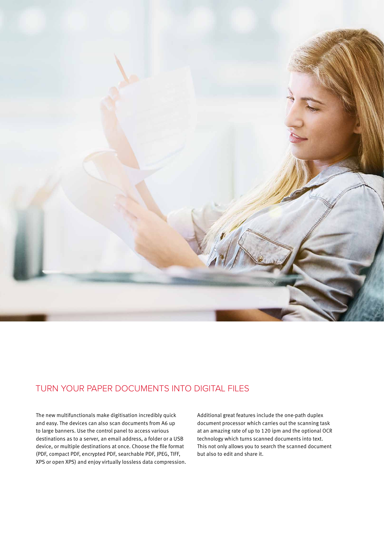

## TURN YOUR PAPER DOCUMENTS INTO DIGITAL FILES

The new multifunctionals make digitisation incredibly quick and easy. The devices can also scan documents from A6 up to large banners. Use the control panel to access various destinations as to a server, an email address, a folder or a USB device, or multiple destinations at once. Choose the file format (PDF, compact PDF, encrypted PDF, searchable PDF, JPEG, TIFF, XPS or open XPS) and enjoy virtually lossless data compression. Additional great features include the one-path duplex document processor which carries out the scanning task at an amazing rate of up to 120 ipm and the optional OCR technology which turns scanned documents into text. This not only allows you to search the scanned document but also to edit and share it.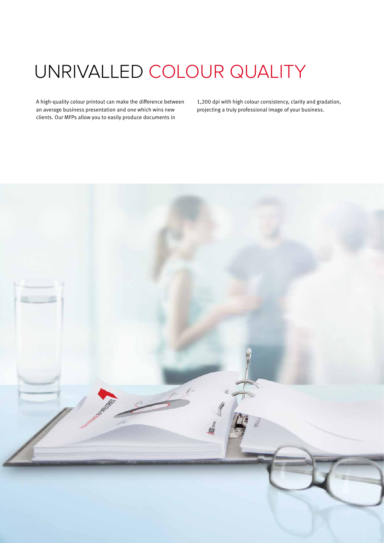# UNRIVALLED COLOUR QUALITY

A high-quality colour printout can make the difference between an average business presentation and one which wins new clients. Our MFPs allow you to easily produce documents in

1,200 dpi with high colour consistency, clarity and gradation, projecting a truly professional image of your business.

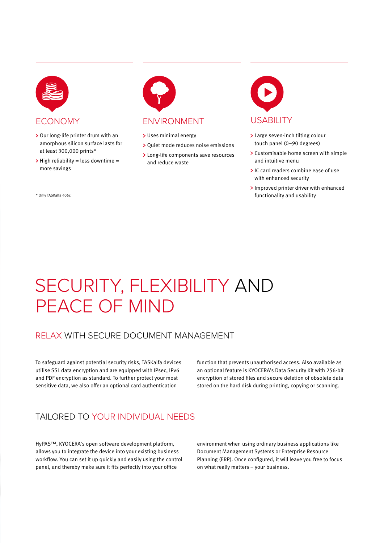

- > Our long-life printer drum with an amorphous silicon surface lasts for at least 300,000 prints\*
- $>$  High reliability = less downtime = more savings

\* Only TASKalfa 406ci



- > Uses minimal energy
- > Quiet mode reduces noise emissions
- Long-life components save resources and reduce waste



- > Large seven-inch tilting colour touch panel (0–90 degrees)
- > Customisable home screen with simple and intuitive menu
- IC card readers combine ease of use with enhanced security
- > Improved printer driver with enhanced functionality and usability

# SECURITY, FLEXIBILITY AND PEACE OF MIND

## RELAX WITH SECURE DOCUMENT MANAGEMENT

To safeguard against potential security risks, TASKalfa devices utilise SSL data encryption and are equipped with IPsec, IPv6 and PDF encryption as standard. To further protect your most sensitive data, we also offer an optional card authentication

function that prevents unauthorised access. Also available as an optional feature is KYOCERA's Data Security Kit with 256-bit encryption of stored files and secure deletion of obsolete data stored on the hard disk during printing, copying or scanning.

## TAILORED TO YOUR INDIVIDUAL NEEDS

HyPAS™, KYOCERA's open software development platform, allows you to integrate the device into your existing business workflow. You can set it up quickly and easily using the control panel, and thereby make sure it fits perfectly into your office

environment when using ordinary business applications like Document Management Systems or Enterprise Resource Planning (ERP). Once configured, it will leave you free to focus on what really matters – your business.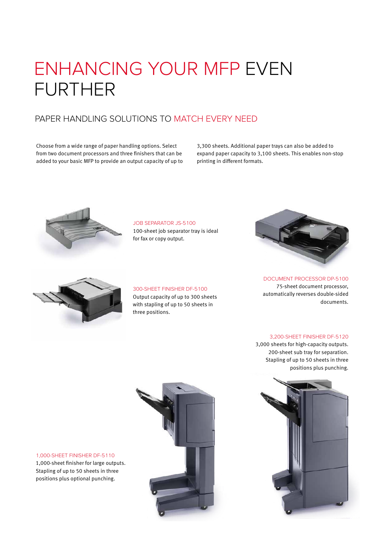# ENHANCING YOUR MFP EVEN FURTHER

## PAPER HANDLING SOLUTIONS TO MATCH EVERY NEED

Choose from a wide range of paper handling options. Select from two document processors and three finishers that can be added to your basic MFP to provide an output capacity of up to 3,300 sheets. Additional paper trays can also be added to expand paper capacity to 3,100 sheets. This enables non-stop printing in different formats.



JOB SEPARATOR JS-5100

100-sheet job separator tray is ideal for fax or copy output.



### 300-SHEET FINISHER DF-5100 Output capacity of up to 300 sheets with stapling of up to 50 sheets in three positions.



DOCUMENT PROCESSOR DP-5100 75-sheet document processor, automatically reverses double-sided documents.

### 3,200-SHEET FINISHER DF-5120

3,000 sheets for high-capacity outputs. 200-sheet sub tray for separation. Stapling of up to 50 sheets in three positions plus punching.





1,000-SHEET FINISHER DF-5110 1,000-sheet finisher for large outputs. Stapling of up to 50 sheets in three positions plus optional punching.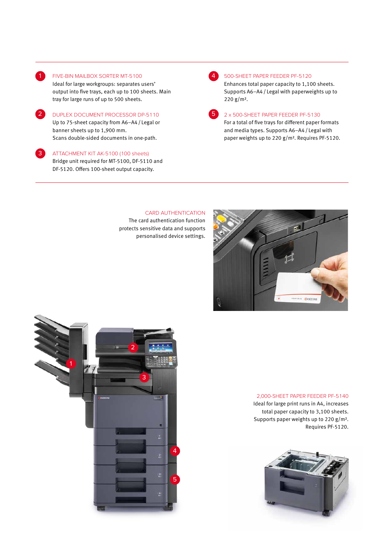

 $\mathbf{R}$ 

#### 1 FIVE-BIN MAILBOX SORTER MT-5100

Ideal for large workgroups: separates users' output into five trays, each up to 100 sheets. Main tray for large runs of up to 500 sheets.

2 DUPLEX DOCUMENT PROCESSOR DP-5110 Up to 75-sheet capacity from A6–A4/ Legal or banner sheets up to 1,900 mm. Scans double-sided documents in one-path.

ATTACHMENT KIT AK-5100 (100 sheets) Bridge unit required for MT-5100, DF-5110 and DF-5120. Offers 100-sheet output capacity.

#### 500-SHEET PAPER FEEDER PF-5120

Enhances total paper capacity to 1,100 sheets. Supports A6–A4/ Legal with paperweights up to 220 g/m².

| and the state of the state of the state of the state of the state of the state of the state of the state of th |  |
|----------------------------------------------------------------------------------------------------------------|--|
|                                                                                                                |  |
| ٠.                                                                                                             |  |
|                                                                                                                |  |

### 2 x 500-SHEET PAPER FEEDER PF-5130 For a total of five trays for different paper formats and media types. Supports A6–A4/ Legal with paper weights up to 220 g/m². Requires PF-5120.

### CARD AUTHENTICATION

The card authentication function protects sensitive data and supports personalised device settings.





#### 2,000-SHEET PAPER FEEDER PF-5140

Ideal for large print runs in A4, increases total paper capacity to 3,100 sheets. Supports paper weights up to 220 g/m². Requires PF-5120.